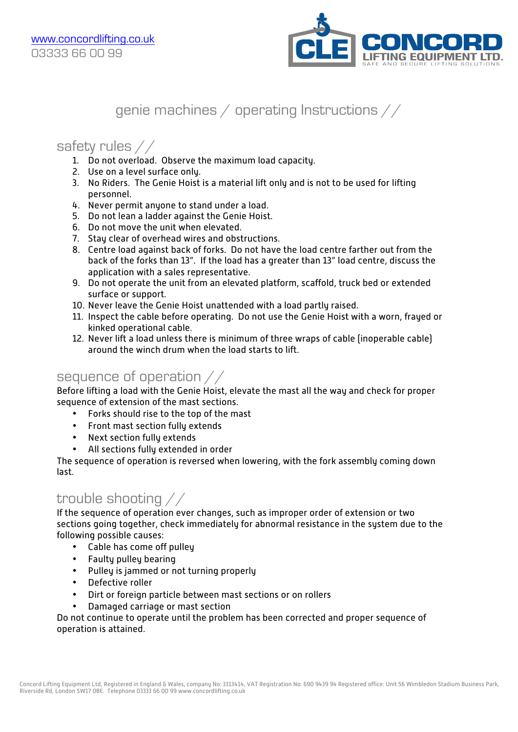

# genie machines / operating Instructions //

### safety rules //

- 1. Do not overload. Observe the maximum load capacity.
- 2. Use on a level surface only.
- 3. No Riders. The Genie Hoist is a material lift only and is not to be used for lifting personnel.
- 4. Never permit anyone to stand under a load.
- 5. Do not lean a ladder against the Genie Hoist.
- 6. Do not move the unit when elevated.
- 7. Stay clear of overhead wires and obstructions.
- 8. Centre load against back of forks. Do not have the load centre farther out from the back of the forks than 13". If the load has a greater than 13" load centre, discuss the application with a sales representative.
- 9. Do not operate the unit from an elevated platform, scaffold, truck bed or extended surface or support.
- 10. Never leave the Genie Hoist unattended with a load partly raised.
- 11. Inspect the cable before operating. Do not use the Genie Hoist with a worn, frayed or kinked operational cable.
- 12. Never lift a load unless there is minimum of three wraps of cable (inoperable cable) around the winch drum when the load starts to lift.

#### sequence of operation //

Before lifting a load with the Genie Hoist, elevate the mast all the way and check for proper sequence of extension of the mast sections.

- Forks should rise to the top of the mast
- Front mast section fully extends
- Next section fully extends
- All sections fully extended in order

The sequence of operation is reversed when lowering, with the fork assembly coming down last.

### trouble shooting //

If the sequence of operation ever changes, such as improper order of extension or two sections going together, check immediately for abnormal resistance in the system due to the following possible causes:

- Cable has come off pulley
- Faulty pulley bearing
- Pulley is jammed or not turning properly
- Defective roller
- Dirt or foreign particle between mast sections or on rollers
- Damaged carriage or mast section

Do not continue to operate until the problem has been corrected and proper sequence of operation is attained.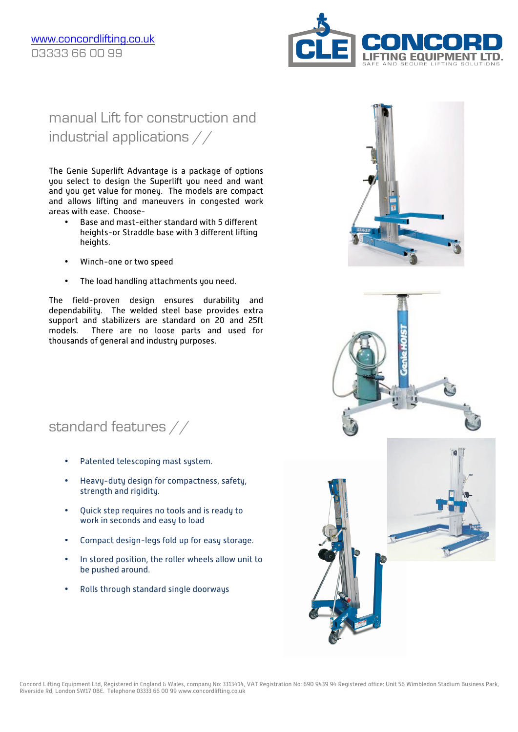

# manual Lift for construction and industrial applications //

The Genie Superlift Advantage is a package of options you select to design the Superlift you need and want and you get value for money. The models are compact and allows lifting and maneuvers in congested work areas with ease. Choose-

- Base and mast-either standard with 5 different heights-or Straddle base with 3 different lifting heights.
- Winch-one or two speed
- The load handling attachments you need.

The field-proven design ensures durability and dependability. The welded steel base provides extra support and stabilizers are standard on 20 and 25ft models. There are no loose parts and used for thousands of general and industry purposes.

standard features //

- Patented telescoping mast system.
- Heavy-duty design for compactness, safety, strength and rigidity.
- Quick step requires no tools and is ready to work in seconds and easy to load
- Compact design-legs fold up for easy storage.
- In stored position, the roller wheels allow unit to be pushed around.
- Rolls through standard single doorways







Concord Lifting Equipment Ltd, Registered in England & Wales, company No: 3313414, VAT Registration No: 690 9439 94 Registered office: Unit 56 Wimbledon Stadium Business Park, Riverside Rd, London SW17 0BE. Telephone 03333 66 00 99 www.concordlifting.co.uk